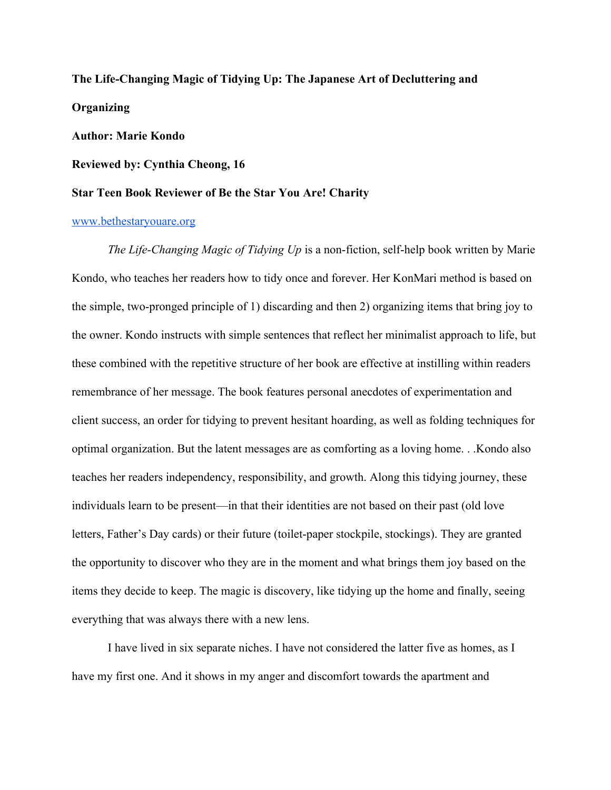# **The Life-Changing Magic of Tidying Up: The Japanese Art of Decluttering and Organizing**

## **Author: Marie Kondo**

**Reviewed by: Cynthia Cheong, 16**

## **Star Teen Book Reviewer of Be the Star You Are! Charity**

#### [www.bethestaryouare.org](http://www.bethestaryouare.org/)

*The Life-Changing Magic of Tidying Up* is a non-fiction, self-help book written by Marie Kondo, who teaches her readers how to tidy once and forever. Her KonMari method is based on the simple, two-pronged principle of 1) discarding and then 2) organizing items that bring joy to the owner. Kondo instructs with simple sentences that reflect her minimalist approach to life, but these combined with the repetitive structure of her book are effective at instilling within readers remembrance of her message. The book features personal anecdotes of experimentation and client success, an order for tidying to prevent hesitant hoarding, as well as folding techniques for optimal organization. But the latent messages are as comforting as a loving home. . .Kondo also teaches her readers independency, responsibility, and growth. Along this tidying journey, these individuals learn to be present—in that their identities are not based on their past (old love letters, Father's Day cards) or their future (toilet-paper stockpile, stockings). They are granted the opportunity to discover who they are in the moment and what brings them joy based on the items they decide to keep. The magic is discovery, like tidying up the home and finally, seeing everything that was always there with a new lens.

I have lived in six separate niches. I have not considered the latter five as homes, as I have my first one. And it shows in my anger and discomfort towards the apartment and